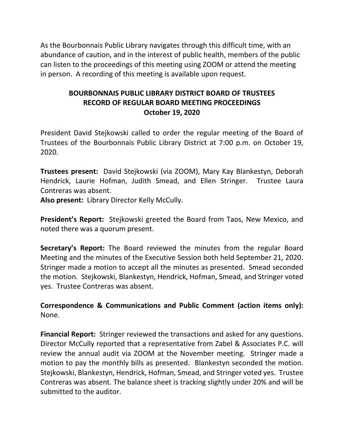As the Bourbonnais Public Library navigates through this difficult time, with an abundance of caution, and in the interest of public health, members of the public can listen to the proceedings of this meeting using ZOOM or attend the meeting in person. A recording of this meeting is available upon request.

# **BOURBONNAIS PUBLIC LIBRARY DISTRICT BOARD OF TRUSTEES RECORD OF REGULAR BOARD MEETING PROCEEDINGS October 19, 2020**

President David Stejkowski called to order the regular meeting of the Board of Trustees of the Bourbonnais Public Library District at 7:00 p.m. on October 19, 2020.

**Trustees present:** David Stejkowski (via ZOOM), Mary Kay Blankestyn, Deborah Hendrick, Laurie Hofman, Judith Smead, and Ellen Stringer. Trustee Laura Contreras was absent.

**Also present:** Library Director Kelly McCully.

**President's Report:** Stejkowski greeted the Board from Taos, New Mexico, and noted there was a quorum present.

**Secretary's Report:** The Board reviewed the minutes from the regular Board Meeting and the minutes of the Executive Session both held September 21, 2020. Stringer made a motion to accept all the minutes as presented. Smead seconded the motion. Stejkowski, Blankestyn, Hendrick, Hofman, Smead, and Stringer voted yes. Trustee Contreras was absent.

**Correspondence & Communications and Public Comment (action items only):**  None.

**Financial Report:** Stringer reviewed the transactions and asked for any questions. Director McCully reported that a representative from Zabel & Associates P.C. will review the annual audit via ZOOM at the November meeting. Stringer made a motion to pay the monthly bills as presented. Blankestyn seconded the motion. Stejkowski, Blankestyn, Hendrick, Hofman, Smead, and Stringer voted yes. Trustee Contreras was absent. The balance sheet is tracking slightly under 20% and will be submitted to the auditor.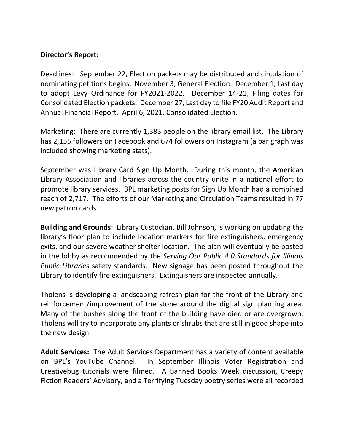## **Director's Report:**

Deadlines: September 22, Election packets may be distributed and circulation of nominating petitions begins. November 3, General Election. December 1, Last day to adopt Levy Ordinance for FY2021-2022. December 14-21, Filing dates for Consolidated Election packets. December 27, Last day to file FY20 Audit Report and Annual Financial Report. April 6, 2021, Consolidated Election.

Marketing: There are currently 1,383 people on the library email list. The Library has 2,155 followers on Facebook and 674 followers on Instagram (a bar graph was included showing marketing stats).

September was Library Card Sign Up Month. During this month, the American Library Association and libraries across the country unite in a national effort to promote library services. BPL marketing posts for Sign Up Month had a combined reach of 2,717. The efforts of our Marketing and Circulation Teams resulted in 77 new patron cards.

**Building and Grounds:** Library Custodian, Bill Johnson, is working on updating the library's floor plan to include location markers for fire extinguishers, emergency exits, and our severe weather shelter location. The plan will eventually be posted in the lobby as recommended by the *Serving Our Public 4.0 Standards for Illinois Public Libraries* safety standards. New signage has been posted throughout the Library to identify fire extinguishers. Extinguishers are inspected annually.

Tholens is developing a landscaping refresh plan for the front of the Library and reinforcement/improvement of the stone around the digital sign planting area. Many of the bushes along the front of the building have died or are overgrown. Tholens will try to incorporate any plants or shrubs that are still in good shape into the new design.

**Adult Services:** The Adult Services Department has a variety of content available on BPL's YouTube Channel. In September Illinois Voter Registration and Creativebug tutorials were filmed. A Banned Books Week discussion, Creepy Fiction Readers' Advisory, and a Terrifying Tuesday poetry series were all recorded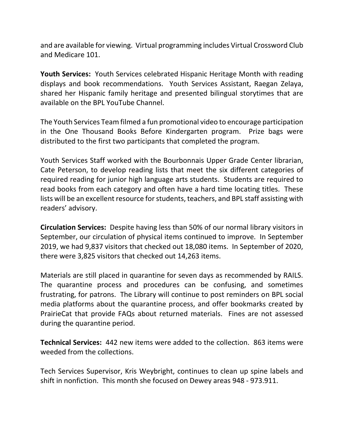and are available for viewing. Virtual programming includes Virtual Crossword Club and Medicare 101.

**Youth Services:** Youth Services celebrated Hispanic Heritage Month with reading displays and book recommendations. Youth Services Assistant, Raegan Zelaya, shared her Hispanic family heritage and presented bilingual storytimes that are available on the BPL YouTube Channel.

The Youth Services Team filmed a fun promotional video to encourage participation in the One Thousand Books Before Kindergarten program. Prize bags were distributed to the first two participants that completed the program.

Youth Services Staff worked with the Bourbonnais Upper Grade Center librarian, Cate Peterson, to develop reading lists that meet the six different categories of required reading for junior high language arts students. Students are required to read books from each category and often have a hard time locating titles. These lists will be an excellent resource for students, teachers, and BPL staff assisting with readers' advisory.

**Circulation Services:** Despite having less than 50% of our normal library visitors in September, our circulation of physical items continued to improve. In September 2019, we had 9,837 visitors that checked out 18,080 items. In September of 2020, there were 3,825 visitors that checked out 14,263 items.

Materials are still placed in quarantine for seven days as recommended by RAILS. The quarantine process and procedures can be confusing, and sometimes frustrating, for patrons. The Library will continue to post reminders on BPL social media platforms about the quarantine process, and offer bookmarks created by PrairieCat that provide FAQs about returned materials. Fines are not assessed during the quarantine period.

**Technical Services:** 442 new items were added to the collection. 863 items were weeded from the collections.

Tech Services Supervisor, Kris Weybright, continues to clean up spine labels and shift in nonfiction. This month she focused on Dewey areas 948 - 973.911.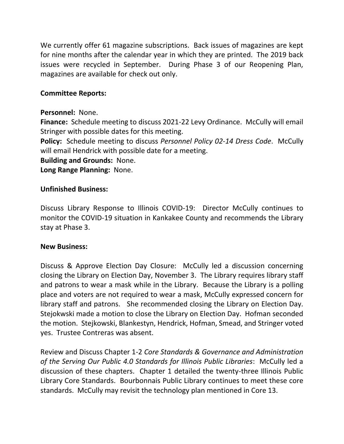We currently offer 61 magazine subscriptions. Back issues of magazines are kept for nine months after the calendar year in which they are printed. The 2019 back issues were recycled in September. During Phase 3 of our Reopening Plan, magazines are available for check out only.

## **Committee Reports:**

#### **Personnel:** None.

**Finance:** Schedule meeting to discuss 2021-22 Levy Ordinance. McCully will email Stringer with possible dates for this meeting.

**Policy:** Schedule meeting to discuss *Personnel Policy 02-14 Dress Code*. McCully will email Hendrick with possible date for a meeting.

**Building and Grounds:** None.

**Long Range Planning:** None.

#### **Unfinished Business:**

Discuss Library Response to Illinois COVID-19: Director McCully continues to monitor the COVID-19 situation in Kankakee County and recommends the Library stay at Phase 3.

#### **New Business:**

Discuss & Approve Election Day Closure: McCully led a discussion concerning closing the Library on Election Day, November 3. The Library requires library staff and patrons to wear a mask while in the Library. Because the Library is a polling place and voters are not required to wear a mask, McCully expressed concern for library staff and patrons. She recommended closing the Library on Election Day. Stejokwski made a motion to close the Library on Election Day. Hofman seconded the motion. Stejkowski, Blankestyn, Hendrick, Hofman, Smead, and Stringer voted yes. Trustee Contreras was absent.

Review and Discuss Chapter 1-2 *Core Standards & Governance and Administration of the Serving Our Public 4.0 Standards for Illinois Public Libraries*: McCully led a discussion of these chapters. Chapter 1 detailed the twenty-three Illinois Public Library Core Standards. Bourbonnais Public Library continues to meet these core standards. McCully may revisit the technology plan mentioned in Core 13.